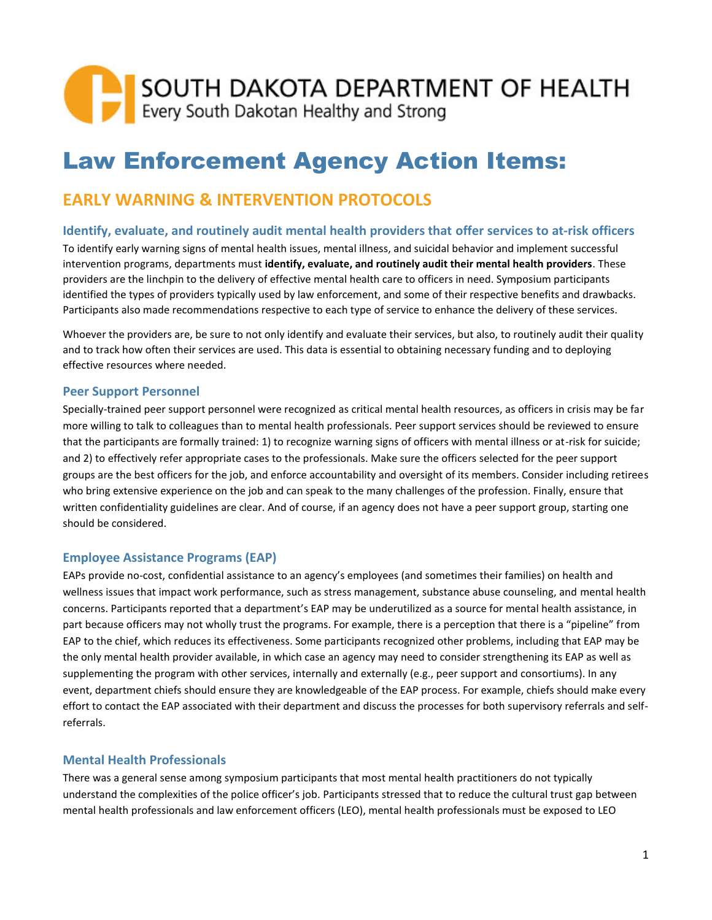# SOUTH DAKOTA DEPARTMENT OF HEALTH<br>Every South Dakotan Healthy and Strong

## Law Enforcement Agency Action Items:

### **EARLY WARNING & INTERVENTION PROTOCOLS**

#### **Identify, evaluate, and routinely audit mental health providers that offer services to at-risk officers**

To identify early warning signs of mental health issues, mental illness, and suicidal behavior and implement successful intervention programs, departments must **identify, evaluate, and routinely audit their mental health providers**. These providers are the linchpin to the delivery of effective mental health care to officers in need. Symposium participants identified the types of providers typically used by law enforcement, and some of their respective benefits and drawbacks. Participants also made recommendations respective to each type of service to enhance the delivery of these services.

Whoever the providers are, be sure to not only identify and evaluate their services, but also, to routinely audit their quality and to track how often their services are used. This data is essential to obtaining necessary funding and to deploying effective resources where needed.

#### **Peer Support Personnel**

Specially-trained peer support personnel were recognized as critical mental health resources, as officers in crisis may be far more willing to talk to colleagues than to mental health professionals. Peer support services should be reviewed to ensure that the participants are formally trained: 1) to recognize warning signs of officers with mental illness or at-risk for suicide; and 2) to effectively refer appropriate cases to the professionals. Make sure the officers selected for the peer support groups are the best officers for the job, and enforce accountability and oversight of its members. Consider including retirees who bring extensive experience on the job and can speak to the many challenges of the profession. Finally, ensure that written confidentiality guidelines are clear. And of course, if an agency does not have a peer support group, starting one should be considered.

#### **Employee Assistance Programs (EAP)**

EAPs provide no-cost, confidential assistance to an agency's employees (and sometimes their families) on health and wellness issues that impact work performance, such as stress management, substance abuse counseling, and mental health concerns. Participants reported that a department's EAP may be underutilized as a source for mental health assistance, in part because officers may not wholly trust the programs. For example, there is a perception that there is a "pipeline" from EAP to the chief, which reduces its effectiveness. Some participants recognized other problems, including that EAP may be the only mental health provider available, in which case an agency may need to consider strengthening its EAP as well as supplementing the program with other services, internally and externally (e.g., peer support and consortiums). In any event, department chiefs should ensure they are knowledgeable of the EAP process. For example, chiefs should make every effort to contact the EAP associated with their department and discuss the processes for both supervisory referrals and selfreferrals.

#### **Mental Health Professionals**

There was a general sense among symposium participants that most mental health practitioners do not typically understand the complexities of the police officer's job. Participants stressed that to reduce the cultural trust gap between mental health professionals and law enforcement officers (LEO), mental health professionals must be exposed to LEO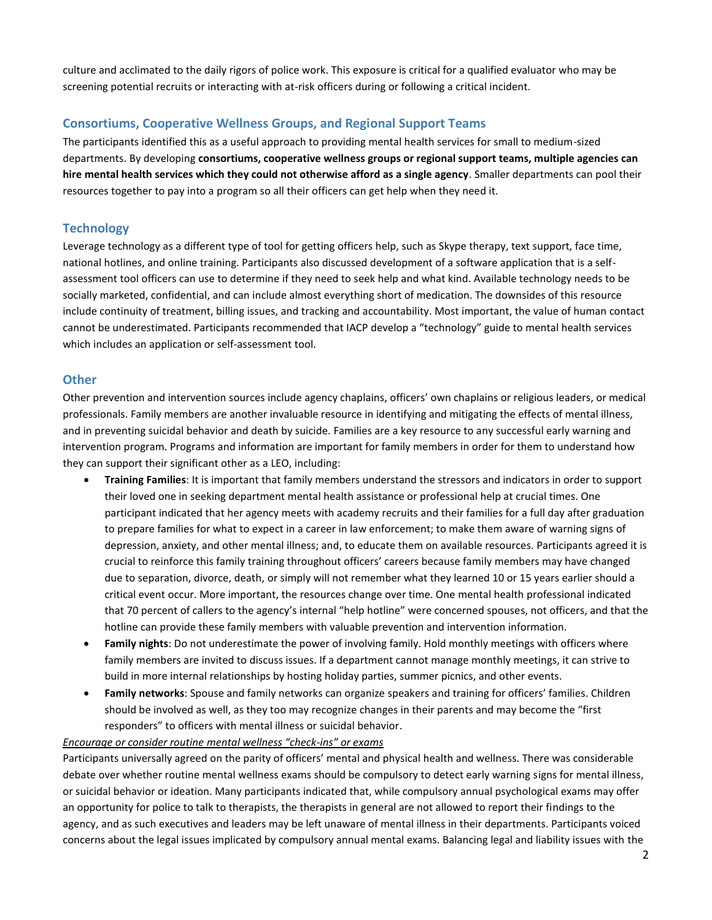culture and acclimated to the daily rigors of police work. This exposure is critical for a qualified evaluator who may be screening potential recruits or interacting with at-risk officers during or following a critical incident.

#### **Consortiums, Cooperative Wellness Groups, and Regional Support Teams**

The participants identified this as a useful approach to providing mental health services for small to medium-sized departments. By developing **consortiums, cooperative wellness groups or regional support teams, multiple agencies can hire mental health services which they could not otherwise afford as a single agency**. Smaller departments can pool their resources together to pay into a program so all their officers can get help when they need it.

#### **Technology**

Leverage technology as a different type of tool for getting officers help, such as Skype therapy, text support, face time, national hotlines, and online training. Participants also discussed development of a software application that is a selfassessment tool officers can use to determine if they need to seek help and what kind. Available technology needs to be socially marketed, confidential, and can include almost everything short of medication. The downsides of this resource include continuity of treatment, billing issues, and tracking and accountability. Most important, the value of human contact cannot be underestimated. Participants recommended that IACP develop a "technology" guide to mental health services which includes an application or self-assessment tool.

#### **Other**

Other prevention and intervention sources include agency chaplains, officers' own chaplains or religious leaders, or medical professionals. Family members are another invaluable resource in identifying and mitigating the effects of mental illness, and in preventing suicidal behavior and death by suicide. Families are a key resource to any successful early warning and intervention program. Programs and information are important for family members in order for them to understand how they can support their significant other as a LEO, including:

- **Training Families**: It is important that family members understand the stressors and indicators in order to support their loved one in seeking department mental health assistance or professional help at crucial times. One participant indicated that her agency meets with academy recruits and their families for a full day after graduation to prepare families for what to expect in a career in law enforcement; to make them aware of warning signs of depression, anxiety, and other mental illness; and, to educate them on available resources. Participants agreed it is crucial to reinforce this family training throughout officers' careers because family members may have changed due to separation, divorce, death, or simply will not remember what they learned 10 or 15 years earlier should a critical event occur. More important, the resources change over time. One mental health professional indicated that 70 percent of callers to the agency's internal "help hotline" were concerned spouses, not officers, and that the hotline can provide these family members with valuable prevention and intervention information.
- **Family nights**: Do not underestimate the power of involving family. Hold monthly meetings with officers where family members are invited to discuss issues. If a department cannot manage monthly meetings, it can strive to build in more internal relationships by hosting holiday parties, summer picnics, and other events.
- **Family networks**: Spouse and family networks can organize speakers and training for officers' families. Children should be involved as well, as they too may recognize changes in their parents and may become the "first responders" to officers with mental illness or suicidal behavior.

#### *Encourage or consider routine mental wellness "check-ins" or exams*

Participants universally agreed on the parity of officers' mental and physical health and wellness. There was considerable debate over whether routine mental wellness exams should be compulsory to detect early warning signs for mental illness, or suicidal behavior or ideation. Many participants indicated that, while compulsory annual psychological exams may offer an opportunity for police to talk to therapists, the therapists in general are not allowed to report their findings to the agency, and as such executives and leaders may be left unaware of mental illness in their departments. Participants voiced concerns about the legal issues implicated by compulsory annual mental exams. Balancing legal and liability issues with the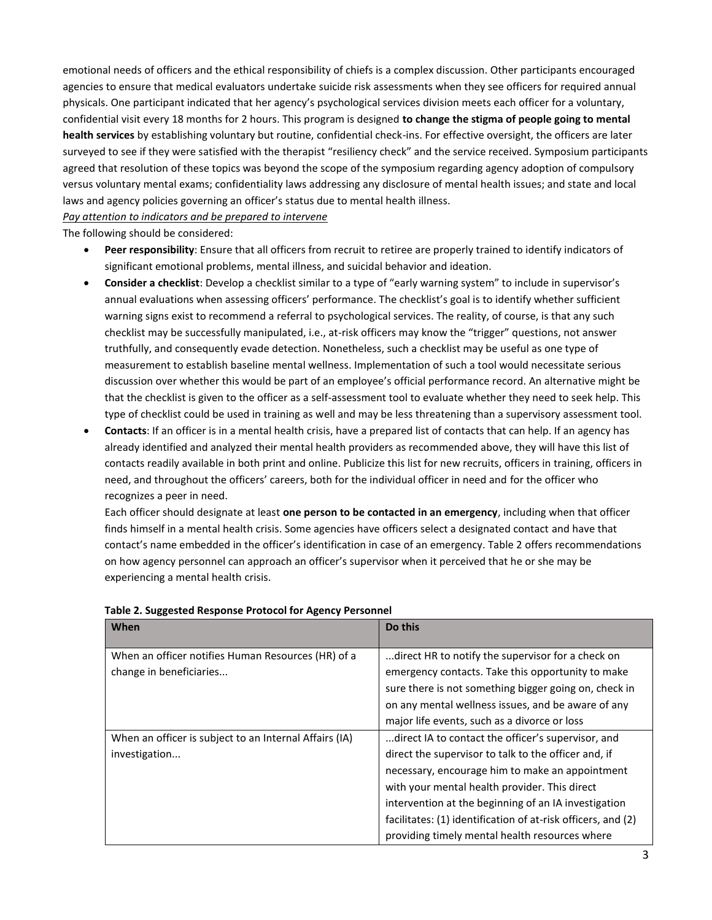emotional needs of officers and the ethical responsibility of chiefs is a complex discussion. Other participants encouraged agencies to ensure that medical evaluators undertake suicide risk assessments when they see officers for required annual physicals. One participant indicated that her agency's psychological services division meets each officer for a voluntary, confidential visit every 18 months for 2 hours. This program is designed **to change the stigma of people going to mental health services** by establishing voluntary but routine, confidential check-ins. For effective oversight, the officers are later surveyed to see if they were satisfied with the therapist "resiliency check" and the service received. Symposium participants agreed that resolution of these topics was beyond the scope of the symposium regarding agency adoption of compulsory versus voluntary mental exams; confidentiality laws addressing any disclosure of mental health issues; and state and local laws and agency policies governing an officer's status due to mental health illness.

#### *Pay attention to indicators and be prepared to intervene*

The following should be considered:

- **Peer responsibility**: Ensure that all officers from recruit to retiree are properly trained to identify indicators of significant emotional problems, mental illness, and suicidal behavior and ideation.
- **Consider a checklist**: Develop a checklist similar to a type of "early warning system" to include in supervisor's annual evaluations when assessing officers' performance. The checklist's goal is to identify whether sufficient warning signs exist to recommend a referral to psychological services. The reality, of course, is that any such checklist may be successfully manipulated, i.e., at-risk officers may know the "trigger" questions, not answer truthfully, and consequently evade detection. Nonetheless, such a checklist may be useful as one type of measurement to establish baseline mental wellness. Implementation of such a tool would necessitate serious discussion over whether this would be part of an employee's official performance record. An alternative might be that the checklist is given to the officer as a self-assessment tool to evaluate whether they need to seek help. This type of checklist could be used in training as well and may be less threatening than a supervisory assessment tool.
- **Contacts**: If an officer is in a mental health crisis, have a prepared list of contacts that can help. If an agency has already identified and analyzed their mental health providers as recommended above, they will have this list of contacts readily available in both print and online. Publicize this list for new recruits, officers in training, officers in need, and throughout the officers' careers, both for the individual officer in need and for the officer who recognizes a peer in need.

Each officer should designate at least **one person to be contacted in an emergency**, including when that officer finds himself in a mental health crisis. Some agencies have officers select a designated contact and have that contact's name embedded in the officer's identification in case of an emergency. Table 2 offers recommendations on how agency personnel can approach an officer's supervisor when it perceived that he or she may be experiencing a mental health crisis.

| When                                                   | Do this                                                      |
|--------------------------------------------------------|--------------------------------------------------------------|
| When an officer notifies Human Resources (HR) of a     | direct HR to notify the supervisor for a check on            |
| change in beneficiaries                                | emergency contacts. Take this opportunity to make            |
|                                                        | sure there is not something bigger going on, check in        |
|                                                        | on any mental wellness issues, and be aware of any           |
|                                                        | major life events, such as a divorce or loss                 |
| When an officer is subject to an Internal Affairs (IA) | direct IA to contact the officer's supervisor, and           |
| investigation                                          | direct the supervisor to talk to the officer and, if         |
|                                                        | necessary, encourage him to make an appointment              |
|                                                        | with your mental health provider. This direct                |
|                                                        | intervention at the beginning of an IA investigation         |
|                                                        | facilitates: (1) identification of at-risk officers, and (2) |
|                                                        | providing timely mental health resources where               |

#### **Table 2. Suggested Response Protocol for Agency Personnel**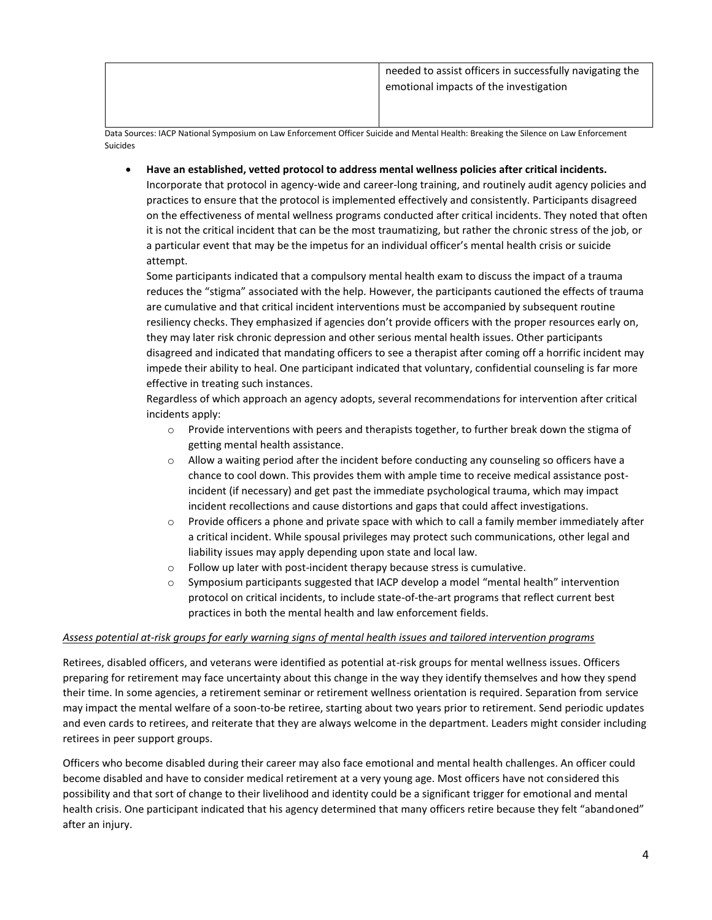Data Sources: IACP National Symposium on Law Enforcement Officer Suicide and Mental Health: Breaking the Silence on Law Enforcement Suicides

• **Have an established, vetted protocol to address mental wellness policies after critical incidents.**  Incorporate that protocol in agency-wide and career-long training, and routinely audit agency policies and

practices to ensure that the protocol is implemented effectively and consistently. Participants disagreed on the effectiveness of mental wellness programs conducted after critical incidents. They noted that often it is not the critical incident that can be the most traumatizing, but rather the chronic stress of the job, or a particular event that may be the impetus for an individual officer's mental health crisis or suicide attempt.

Some participants indicated that a compulsory mental health exam to discuss the impact of a trauma reduces the "stigma" associated with the help. However, the participants cautioned the effects of trauma are cumulative and that critical incident interventions must be accompanied by subsequent routine resiliency checks. They emphasized if agencies don't provide officers with the proper resources early on, they may later risk chronic depression and other serious mental health issues. Other participants disagreed and indicated that mandating officers to see a therapist after coming off a horrific incident may impede their ability to heal. One participant indicated that voluntary, confidential counseling is far more effective in treating such instances.

Regardless of which approach an agency adopts, several recommendations for intervention after critical incidents apply:

- $\circ$  Provide interventions with peers and therapists together, to further break down the stigma of getting mental health assistance.
- o Allow a waiting period after the incident before conducting any counseling so officers have a chance to cool down. This provides them with ample time to receive medical assistance postincident (if necessary) and get past the immediate psychological trauma, which may impact incident recollections and cause distortions and gaps that could affect investigations.
- $\circ$  Provide officers a phone and private space with which to call a family member immediately after a critical incident. While spousal privileges may protect such communications, other legal and liability issues may apply depending upon state and local law.
- o Follow up later with post-incident therapy because stress is cumulative.
- $\circ$  Symposium participants suggested that IACP develop a model "mental health" intervention protocol on critical incidents, to include state-of-the-art programs that reflect current best practices in both the mental health and law enforcement fields.

#### *Assess potential at-risk groups for early warning signs of mental health issues and tailored intervention programs*

Retirees, disabled officers, and veterans were identified as potential at-risk groups for mental wellness issues. Officers preparing for retirement may face uncertainty about this change in the way they identify themselves and how they spend their time. In some agencies, a retirement seminar or retirement wellness orientation is required. Separation from service may impact the mental welfare of a soon-to-be retiree, starting about two years prior to retirement. Send periodic updates and even cards to retirees, and reiterate that they are always welcome in the department. Leaders might consider including retirees in peer support groups.

Officers who become disabled during their career may also face emotional and mental health challenges. An officer could become disabled and have to consider medical retirement at a very young age. Most officers have not considered this possibility and that sort of change to their livelihood and identity could be a significant trigger for emotional and mental health crisis. One participant indicated that his agency determined that many officers retire because they felt "abandoned" after an injury.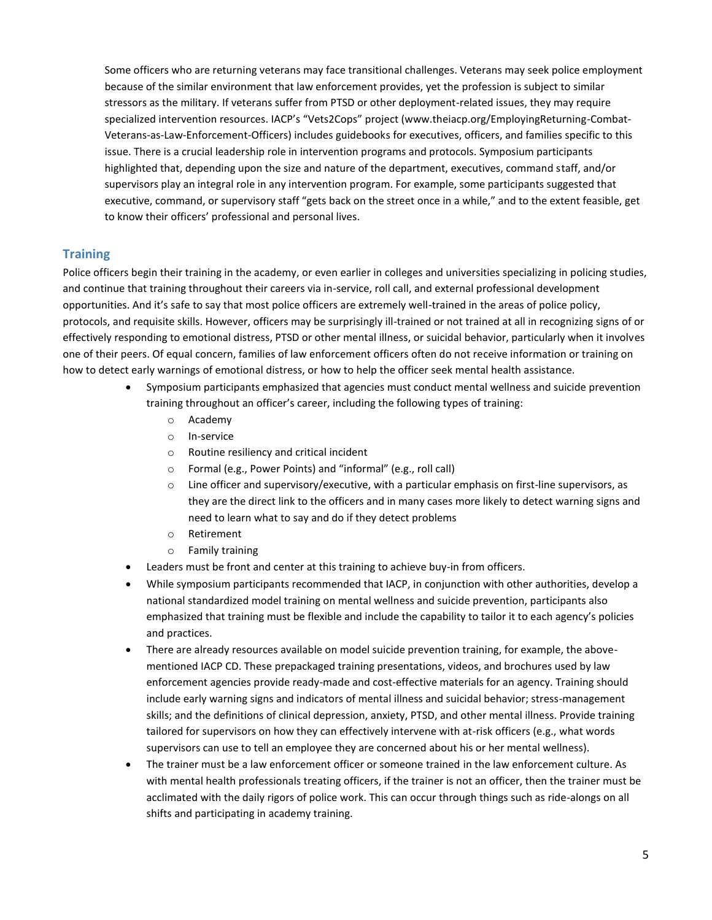Some officers who are returning veterans may face transitional challenges. Veterans may seek police employment because of the similar environment that law enforcement provides, yet the profession is subject to similar stressors as the military. If veterans suffer from PTSD or other deployment-related issues, they may require specialized intervention resources. IACP's "Vets2Cops" project (www.theiacp.org/EmployingReturning-Combat-Veterans-as-Law-Enforcement-Officers) includes guidebooks for executives, officers, and families specific to this issue. There is a crucial leadership role in intervention programs and protocols. Symposium participants highlighted that, depending upon the size and nature of the department, executives, command staff, and/or supervisors play an integral role in any intervention program. For example, some participants suggested that executive, command, or supervisory staff "gets back on the street once in a while," and to the extent feasible, get to know their officers' professional and personal lives.

#### **Training**

Police officers begin their training in the academy, or even earlier in colleges and universities specializing in policing studies, and continue that training throughout their careers via in-service, roll call, and external professional development opportunities. And it's safe to say that most police officers are extremely well-trained in the areas of police policy, protocols, and requisite skills. However, officers may be surprisingly ill-trained or not trained at all in recognizing signs of or effectively responding to emotional distress, PTSD or other mental illness, or suicidal behavior, particularly when it involves one of their peers. Of equal concern, families of law enforcement officers often do not receive information or training on how to detect early warnings of emotional distress, or how to help the officer seek mental health assistance.

- Symposium participants emphasized that agencies must conduct mental wellness and suicide prevention training throughout an officer's career, including the following types of training:
	- o Academy
	- o In-service
	- o Routine resiliency and critical incident
	- o Formal (e.g., Power Points) and "informal" (e.g., roll call)
	- $\circ$  Line officer and supervisory/executive, with a particular emphasis on first-line supervisors, as they are the direct link to the officers and in many cases more likely to detect warning signs and need to learn what to say and do if they detect problems
	- o Retirement
	- o Family training
- Leaders must be front and center at this training to achieve buy-in from officers.
- While symposium participants recommended that IACP, in conjunction with other authorities, develop a national standardized model training on mental wellness and suicide prevention, participants also emphasized that training must be flexible and include the capability to tailor it to each agency's policies and practices.
- There are already resources available on model suicide prevention training, for example, the abovementioned IACP CD. These prepackaged training presentations, videos, and brochures used by law enforcement agencies provide ready-made and cost-effective materials for an agency. Training should include early warning signs and indicators of mental illness and suicidal behavior; stress-management skills; and the definitions of clinical depression, anxiety, PTSD, and other mental illness. Provide training tailored for supervisors on how they can effectively intervene with at-risk officers (e.g., what words supervisors can use to tell an employee they are concerned about his or her mental wellness).
- The trainer must be a law enforcement officer or someone trained in the law enforcement culture. As with mental health professionals treating officers, if the trainer is not an officer, then the trainer must be acclimated with the daily rigors of police work. This can occur through things such as ride-alongs on all shifts and participating in academy training.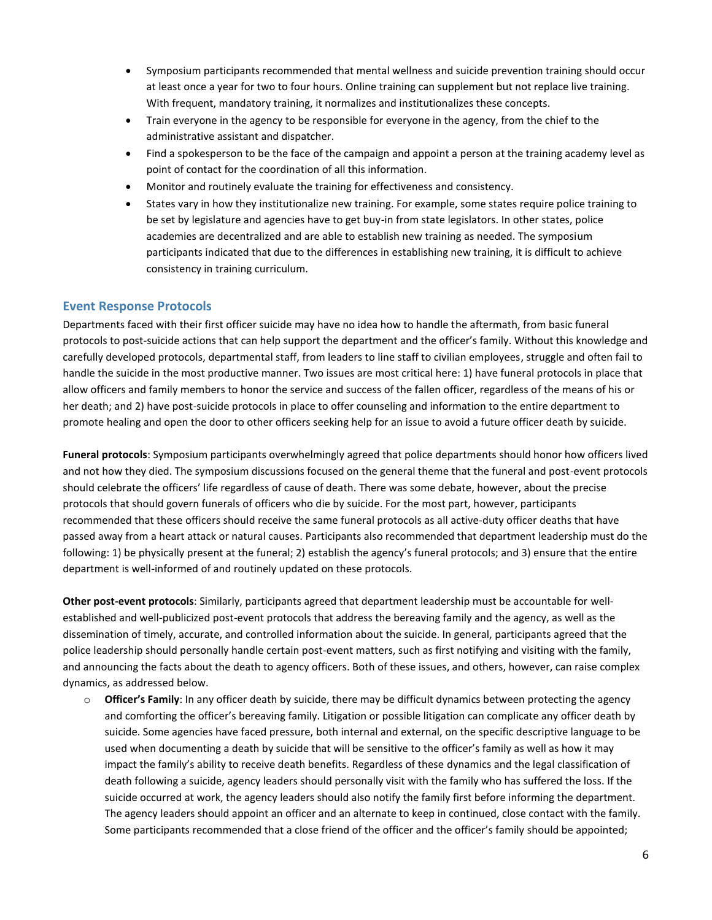- Symposium participants recommended that mental wellness and suicide prevention training should occur at least once a year for two to four hours. Online training can supplement but not replace live training. With frequent, mandatory training, it normalizes and institutionalizes these concepts.
- Train everyone in the agency to be responsible for everyone in the agency, from the chief to the administrative assistant and dispatcher.
- Find a spokesperson to be the face of the campaign and appoint a person at the training academy level as point of contact for the coordination of all this information.
- Monitor and routinely evaluate the training for effectiveness and consistency.
- States vary in how they institutionalize new training. For example, some states require police training to be set by legislature and agencies have to get buy-in from state legislators. In other states, police academies are decentralized and are able to establish new training as needed. The symposium participants indicated that due to the differences in establishing new training, it is difficult to achieve consistency in training curriculum.

#### **Event Response Protocols**

Departments faced with their first officer suicide may have no idea how to handle the aftermath, from basic funeral protocols to post-suicide actions that can help support the department and the officer's family. Without this knowledge and carefully developed protocols, departmental staff, from leaders to line staff to civilian employees, struggle and often fail to handle the suicide in the most productive manner. Two issues are most critical here: 1) have funeral protocols in place that allow officers and family members to honor the service and success of the fallen officer, regardless of the means of his or her death; and 2) have post-suicide protocols in place to offer counseling and information to the entire department to promote healing and open the door to other officers seeking help for an issue to avoid a future officer death by suicide.

**Funeral protocols**: Symposium participants overwhelmingly agreed that police departments should honor how officers lived and not how they died. The symposium discussions focused on the general theme that the funeral and post-event protocols should celebrate the officers' life regardless of cause of death. There was some debate, however, about the precise protocols that should govern funerals of officers who die by suicide. For the most part, however, participants recommended that these officers should receive the same funeral protocols as all active-duty officer deaths that have passed away from a heart attack or natural causes. Participants also recommended that department leadership must do the following: 1) be physically present at the funeral; 2) establish the agency's funeral protocols; and 3) ensure that the entire department is well-informed of and routinely updated on these protocols.

**Other post-event protocols**: Similarly, participants agreed that department leadership must be accountable for wellestablished and well-publicized post-event protocols that address the bereaving family and the agency, as well as the dissemination of timely, accurate, and controlled information about the suicide. In general, participants agreed that the police leadership should personally handle certain post-event matters, such as first notifying and visiting with the family, and announcing the facts about the death to agency officers. Both of these issues, and others, however, can raise complex dynamics, as addressed below.

o **Officer's Family**: In any officer death by suicide, there may be difficult dynamics between protecting the agency and comforting the officer's bereaving family. Litigation or possible litigation can complicate any officer death by suicide. Some agencies have faced pressure, both internal and external, on the specific descriptive language to be used when documenting a death by suicide that will be sensitive to the officer's family as well as how it may impact the family's ability to receive death benefits. Regardless of these dynamics and the legal classification of death following a suicide, agency leaders should personally visit with the family who has suffered the loss. If the suicide occurred at work, the agency leaders should also notify the family first before informing the department. The agency leaders should appoint an officer and an alternate to keep in continued, close contact with the family. Some participants recommended that a close friend of the officer and the officer's family should be appointed;